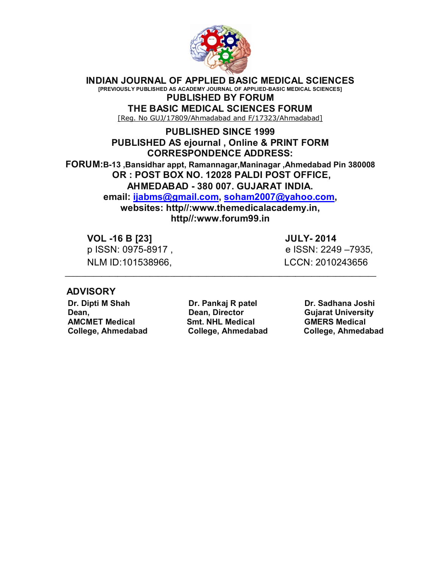

**INDIAN JOURNAL OF APPLIED BASIC MEDICAL SCIENCES**

**[PREVIOUSLY PUBLISHED AS ACADEMY JOURNAL OF APPLIED-BASIC MEDICAL SCIENCES] PUBLISHED BY FORUM**

**THE BASIC MEDICAL SCIENCES FORUM**

[Reg. No GUJ/17809/Ahmadabad and F/17323/Ahmadabad]

## **PUBLISHED SINCE 1999 PUBLISHED AS ejournal , Online & PRINT FORM CORRESPONDENCE ADDRESS:**

**FORUM:B-13 ,Bansidhar appt, Ramannagar,Maninagar ,Ahmedabad Pin 380008 OR : POST BOX NO. 12028 PALDI POST OFFICE, AHMEDABAD - 380 007. GUJARAT INDIA.**

**email: ijabms@gmail.com, soham2007@yahoo.com,**

**websites: http//:www.themedicalacademy.in, http//:www.forum99.in**

 **\_\_\_\_\_\_\_\_\_\_\_\_\_\_\_\_\_\_\_\_\_\_\_\_\_\_\_\_\_\_\_\_\_\_\_\_\_\_\_\_\_\_\_\_\_\_\_\_\_\_\_\_\_\_\_\_\_\_\_\_\_\_\_\_\_\_\_\_\_\_\_\_\_\_\_\_\_**

 **VOL -16 B [23] JULY- 2014**

NLM ID:101538966. LCCN: 2010243656

p ISSN: 0975-8917 , e ISSN: 2249 –7935,

# **ADVISORY**

 **Dr. Dipti M Shah Dr. Pankaj R patel Dr. Sadhana Joshi Dean, Dean, Director Gujarat University AMCMET Medical Smt. NHL Medical GMERS Medical**

 **College, Ahmedabad College, Ahmedabad College, Ahmedabad**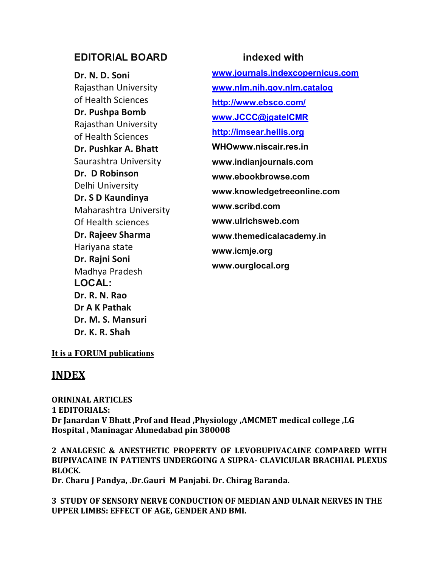# **EDITORIAL BOARD indexed with**

**Dr. N. D. Soni**  Rajasthan University of Health Sciences **Dr. Pushpa Bomb** Rajasthan University of Health Sciences **Dr. Pushkar A. Bhatt** Saurashtra University **Dr. D Robinson** Delhi University **Dr. S D Kaundinya** Maharashtra University Of Health sciences **Dr. Rajeev Sharma**  Hariyana state **Dr. Rajni Soni** Madhya Pradesh **LOCAL: Dr. R. N. Rao Dr A K Pathak Dr. M. S. Mansuri Dr. K. R. Shah**

**www.journals.indexcopernicus.com www.nlm.nih.gov.nlm.catalog http://www.ebsco.com/ www.JCCC@jgateICMR http://imsear.hellis.org WHOwww.niscair.res.in www.indianjournals.com www.ebookbrowse.com www.knowledgetreeonline.com www.scribd.com www.ulrichsweb.com www.themedicalacademy.in www.icmje.org www.ourglocal.org**

### **It is a FORUM publications**

# **INDEX**

**ORININAL ARTICLES 1 EDITORIALS: Dr Janardan V Bhatt ,Prof and Head ,Physiology ,AMCMET medical college ,LG Hospital , Maninagar Ahmedabad pin 380008**

**2 ANALGESIC & ANESTHETIC PROPERTY OF LEVOBUPIVACAINE COMPARED WITH BUPIVACAINE IN PATIENTS UNDERGOING A SUPRA- CLAVICULAR BRACHIAL PLEXUS BLOCK.**

**Dr. Charu J Pandya, .Dr.Gauri M Panjabi. Dr. Chirag Baranda.** 

**3 STUDY OF SENSORY NERVE CONDUCTION OF MEDIAN AND ULNAR NERVES IN THE UPPER LIMBS: EFFECT OF AGE, GENDER AND BMI.**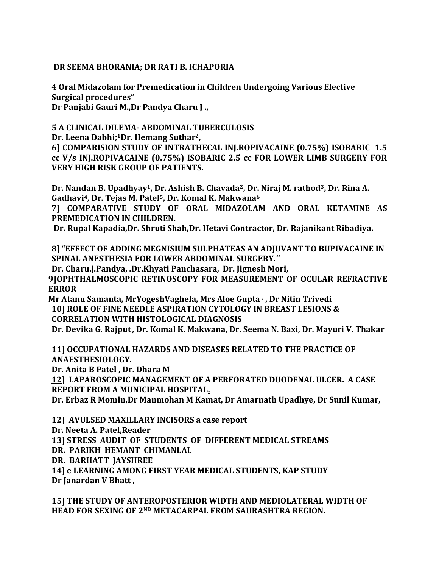# **DR SEEMA BHORANIA; DR RATI B. ICHAPORIA**

**4 Oral Midazolam for Premedication in Children Undergoing Various Elective Surgical procedures" Dr Panjabi Gauri M.,Dr Pandya Charu J .,** 

# **5 A CLINICAL DILEMA- ABDOMINAL TUBERCULOSIS**

**Dr. Leena Dabhi;1Dr. Hemang Suthar2,** 

**6] COMPARISION STUDY OF INTRATHECAL INJ.ROPIVACAINE (0.75%) ISOBARIC 1.5 cc V/s INJ.ROPIVACAINE (0.75%) ISOBARIC 2.5 cc FOR LOWER LIMB SURGERY FOR VERY HIGH RISK GROUP OF PATIENTS.**

**Dr. Nandan B. Upadhyay1, Dr. Ashish B. Chavada2, Dr. Niraj M. rathod3, Dr. Rina A. Gadhavi4, Dr. Tejas M. Patel5, Dr. Komal K. Makwana<sup>6</sup>**

**7] COMPARATIVE STUDY OF ORAL MIDAZOLAM AND ORAL KETAMINE AS PREMEDICATION IN CHILDREN.**

**Dr. Rupal Kapadia,Dr. Shruti Shah,Dr. Hetavi Contractor, Dr. Rajanikant Ribadiya.**

**8] "EFFECT OF ADDING MEGNISIUM SULPHATEAS AN ADJUVANT TO BUPIVACAINE IN SPINAL ANESTHESIA FOR LOWER ABDOMINAL SURGERY***.''*

**Dr. Charu.j.Pandya, .Dr.Khyati Panchasara, Dr. Jignesh Mori,**

**9]OPHTHALMOSCOPIC RETINOSCOPY FOR MEASUREMENT OF OCULAR REFRACTIVE ERROR**

**Mr Atanu Samanta, MrYogeshVaghela, Mrs Aloe Gupta , , Dr Nitin Trivedi 10] ROLE OF FINE NEEDLE ASPIRATION CYTOLOGY IN BREAST LESIONS & CORRELATION WITH HISTOLOGICAL DIAGNOSIS**

**Dr. Devika G. Rajput, Dr. Komal K. Makwana, Dr. Seema N. Baxi, Dr. Mayuri V. Thakar**

**11] OCCUPATIONAL HAZARDS AND DISEASES RELATED TO THE PRACTICE OF ANAESTHESIOLOGY.**

**Dr. Anita B Patel , Dr. Dhara M** 

**12] LAPAROSCOPIC MANAGEMENT OF A PERFORATED DUODENAL ULCER. A CASE REPORT FROM A MUNICIPAL HOSPITAL.**

**Dr. Erbaz R Momin,Dr Manmohan M Kamat, Dr Amarnath Upadhye, Dr Sunil Kumar,** 

**12] AVULSED MAXILLARY INCISORS a case report Dr. Neeta A. Patel,Reader 13] STRESS AUDIT OF STUDENTS OF DIFFERENT MEDICAL STREAMS DR. PARIKH HEMANT CHIMANLAL DR. BARHATT JAYSHREE 14] e LEARNING AMONG FIRST YEAR MEDICAL STUDENTS, KAP STUDY**

**Dr Janardan V Bhatt ,**

**15] THE STUDY OF ANTEROPOSTERIOR WIDTH AND MEDIOLATERAL WIDTH OF HEAD FOR SEXING OF 2ND METACARPAL FROM SAURASHTRA REGION.**